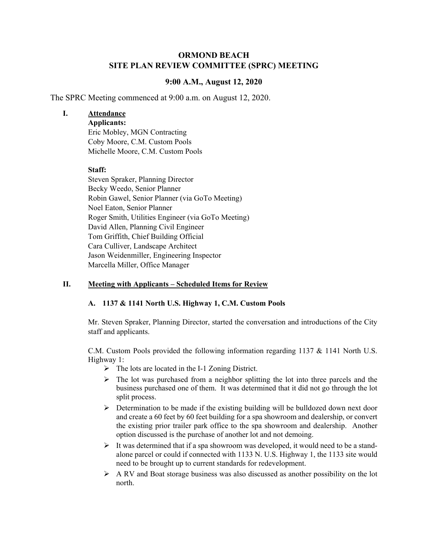# **ORMOND BEACH SITE PLAN REVIEW COMMITTEE (SPRC) MEETING**

# **9:00 A.M., August 12, 2020**

The SPRC Meeting commenced at 9:00 a.m. on August 12, 2020.

## **I. Attendance**

**Applicants:** 

Eric Mobley, MGN Contracting Coby Moore, C.M. Custom Pools Michelle Moore, C.M. Custom Pools

## **Staff:**

Steven Spraker, Planning Director Becky Weedo, Senior Planner Robin Gawel, Senior Planner (via GoTo Meeting) Noel Eaton, Senior Planner Roger Smith, Utilities Engineer (via GoTo Meeting) David Allen, Planning Civil Engineer Tom Griffith, Chief Building Official Cara Culliver, Landscape Architect Jason Weidenmiller, Engineering Inspector Marcella Miller, Office Manager

# **II. Meeting with Applicants – Scheduled Items for Review**

# **A. 1137 & 1141 North U.S. Highway 1, C.M. Custom Pools**

Mr. Steven Spraker, Planning Director, started the conversation and introductions of the City staff and applicants.

C.M. Custom Pools provided the following information regarding 1137 & 1141 North U.S. Highway 1:

- $\triangleright$  The lots are located in the I-1 Zoning District.
- $\triangleright$  The lot was purchased from a neighbor splitting the lot into three parcels and the business purchased one of them. It was determined that it did not go through the lot split process.
- $\triangleright$  Determination to be made if the existing building will be bulldozed down next door and create a 60 feet by 60 feet building for a spa showroom and dealership, or convert the existing prior trailer park office to the spa showroom and dealership. Another option discussed is the purchase of another lot and not demoing.
- $\triangleright$  It was determined that if a spa showroom was developed, it would need to be a standalone parcel or could if connected with 1133 N. U.S. Highway 1, the 1133 site would need to be brought up to current standards for redevelopment.
- $\triangleright$  A RV and Boat storage business was also discussed as another possibility on the lot north.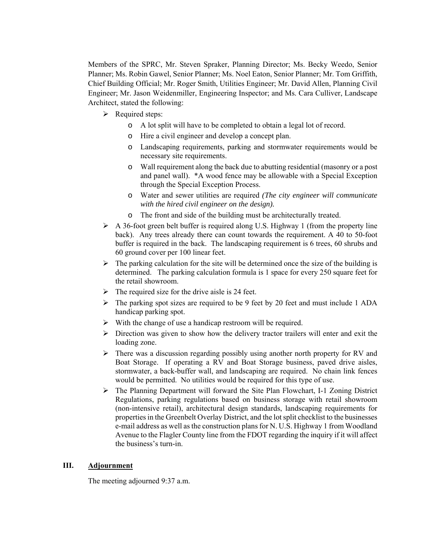Members of the SPRC, Mr. Steven Spraker, Planning Director; Ms. Becky Weedo, Senior Planner; Ms. Robin Gawel, Senior Planner; Ms. Noel Eaton, Senior Planner; Mr. Tom Griffith, Chief Building Official; Mr. Roger Smith, Utilities Engineer; Mr. David Allen, Planning Civil Engineer; Mr. Jason Weidenmiller, Engineering Inspector; and Ms. Cara Culliver, Landscape Architect, stated the following:

- $\triangleright$  Required steps:
	- o A lot split will have to be completed to obtain a legal lot of record.
	- o Hire a civil engineer and develop a concept plan.
	- o Landscaping requirements, parking and stormwater requirements would be necessary site requirements.
	- o Wall requirement along the back due to abutting residential (masonry or a post and panel wall). \*A wood fence may be allowable with a Special Exception through the Special Exception Process.
	- o Water and sewer utilities are required *(The city engineer will communicate with the hired civil engineer on the design).*
	- o The front and side of the building must be architecturally treated.
- $\triangleright$  A 36-foot green belt buffer is required along U.S. Highway 1 (from the property line back). Any trees already there can count towards the requirement. A 40 to 50-foot buffer is required in the back. The landscaping requirement is 6 trees, 60 shrubs and 60 ground cover per 100 linear feet.
- $\triangleright$  The parking calculation for the site will be determined once the size of the building is determined. The parking calculation formula is 1 space for every 250 square feet for the retail showroom.
- $\triangleright$  The required size for the drive aisle is 24 feet.
- $\triangleright$  The parking spot sizes are required to be 9 feet by 20 feet and must include 1 ADA handicap parking spot.
- $\triangleright$  With the change of use a handicap restroom will be required.
- $\triangleright$  Direction was given to show how the delivery tractor trailers will enter and exit the loading zone.
- $\triangleright$  There was a discussion regarding possibly using another north property for RV and Boat Storage. If operating a RV and Boat Storage business, paved drive aisles, stormwater, a back-buffer wall, and landscaping are required. No chain link fences would be permitted. No utilities would be required for this type of use.
- $\triangleright$  The Planning Department will forward the Site Plan Flowchart, I-1 Zoning District Regulations, parking regulations based on business storage with retail showroom (non-intensive retail), architectural design standards, landscaping requirements for properties in the Greenbelt Overlay District, and the lot split checklist to the businesses e-mail address as well as the construction plans for N. U.S. Highway 1 from Woodland Avenue to the Flagler County line from the FDOT regarding the inquiry if it will affect the business's turn-in.

#### **III. Adjournment**

The meeting adjourned 9:37 a.m.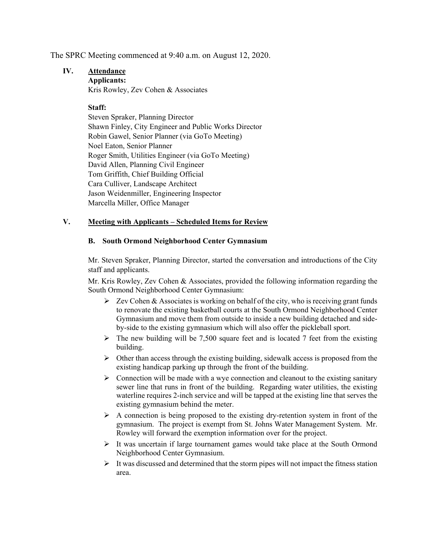The SPRC Meeting commenced at 9:40 a.m. on August 12, 2020.

# **IV. Attendance**

**Applicants:**  Kris Rowley, Zev Cohen & Associates

## **Staff:**

Steven Spraker, Planning Director Shawn Finley, City Engineer and Public Works Director Robin Gawel, Senior Planner (via GoTo Meeting) Noel Eaton, Senior Planner Roger Smith, Utilities Engineer (via GoTo Meeting) David Allen, Planning Civil Engineer Tom Griffith, Chief Building Official Cara Culliver, Landscape Architect Jason Weidenmiller, Engineering Inspector Marcella Miller, Office Manager

# **V. Meeting with Applicants – Scheduled Items for Review**

#### **B. South Ormond Neighborhood Center Gymnasium**

Mr. Steven Spraker, Planning Director, started the conversation and introductions of the City staff and applicants.

Mr. Kris Rowley, Zev Cohen & Associates, provided the following information regarding the South Ormond Neighborhood Center Gymnasium:

- $\triangleright$  Zev Cohen & Associates is working on behalf of the city, who is receiving grant funds to renovate the existing basketball courts at the South Ormond Neighborhood Center Gymnasium and move them from outside to inside a new building detached and sideby-side to the existing gymnasium which will also offer the pickleball sport.
- $\triangleright$  The new building will be 7,500 square feet and is located 7 feet from the existing building.
- $\triangleright$  Other than access through the existing building, sidewalk access is proposed from the existing handicap parking up through the front of the building.
- $\triangleright$  Connection will be made with a wye connection and cleanout to the existing sanitary sewer line that runs in front of the building. Regarding water utilities, the existing waterline requires 2-inch service and will be tapped at the existing line that serves the existing gymnasium behind the meter.
- $\triangleright$  A connection is being proposed to the existing dry-retention system in front of the gymnasium. The project is exempt from St. Johns Water Management System. Mr. Rowley will forward the exemption information over for the project.
- $\triangleright$  It was uncertain if large tournament games would take place at the South Ormond Neighborhood Center Gymnasium.
- $\triangleright$  It was discussed and determined that the storm pipes will not impact the fitness station area.